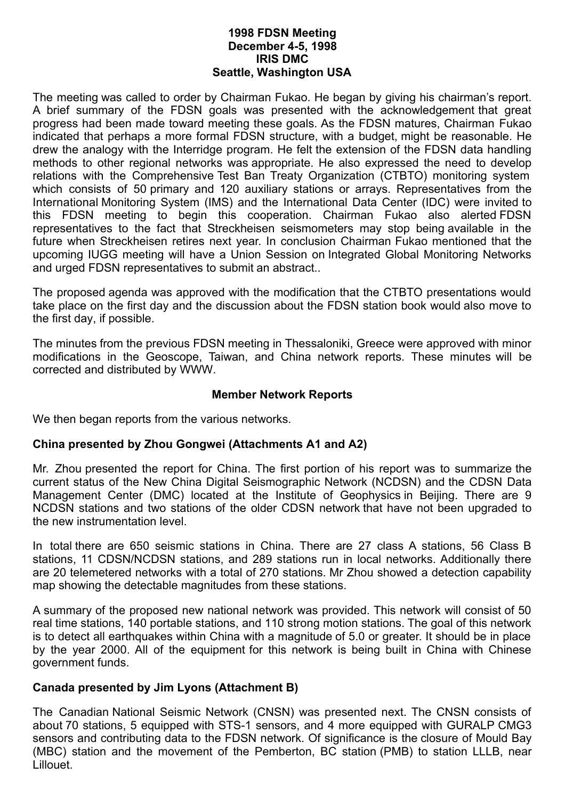#### **1998 FDSN Meeting December 4-5, 1998 IRIS DMC Seattle, Washington USA**

The meeting was called to order by Chairman Fukao. He began by giving his chairman's report. A brief summary of the FDSN goals was presented with the acknowledgement that great progress had been made toward meeting these goals. As the FDSN matures, Chairman Fukao indicated that perhaps a more formal FDSN structure, with a budget, might be reasonable. He drew the analogy with the Interridge program. He felt the extension of the FDSN data handling methods to other regional networks was appropriate. He also expressed the need to develop relations with the Comprehensive Test Ban Treaty Organization (CTBTO) monitoring system which consists of 50 primary and 120 auxiliary stations or arrays. Representatives from the International Monitoring System (IMS) and the International Data Center (IDC) were invited to this FDSN meeting to begin this cooperation. Chairman Fukao also alerted FDSN representatives to the fact that Streckheisen seismometers may stop being available in the future when Streckheisen retires next year. In conclusion Chairman Fukao mentioned that the upcoming IUGG meeting will have a Union Session on Integrated Global Monitoring Networks and urged FDSN representatives to submit an abstract..

The proposed agenda was approved with the modification that the CTBTO presentations would take place on the first day and the discussion about the FDSN station book would also move to the first day, if possible.

The minutes from the previous FDSN meeting in Thessaloniki, Greece were approved with minor modifications in the Geoscope, Taiwan, and China network reports. These minutes will be corrected and distributed by WWW.

## **Member Network Reports**

We then began reports from the various networks.

# **China presented by Zhou Gongwei (Attachments A1 and A2)**

Mr. Zhou presented the report for China. The first portion of his report was to summarize the current status of the New China Digital Seismographic Network (NCDSN) and the CDSN Data Management Center (DMC) located at the Institute of Geophysics in Beijing. There are 9 NCDSN stations and two stations of the older CDSN network that have not been upgraded to the new instrumentation level.

In total there are 650 seismic stations in China. There are 27 class A stations, 56 Class B stations, 11 CDSN/NCDSN stations, and 289 stations run in local networks. Additionally there are 20 telemetered networks with a total of 270 stations. Mr Zhou showed a detection capability map showing the detectable magnitudes from these stations.

A summary of the proposed new national network was provided. This network will consist of 50 real time stations, 140 portable stations, and 110 strong motion stations. The goal of this network is to detect all earthquakes within China with a magnitude of 5.0 or greater. It should be in place by the year 2000. All of the equipment for this network is being built in China with Chinese government funds.

# **Canada presented by Jim Lyons (Attachment B)**

The Canadian National Seismic Network (CNSN) was presented next. The CNSN consists of about 70 stations, 5 equipped with STS-1 sensors, and 4 more equipped with GURALP CMG3 sensors and contributing data to the FDSN network. Of significance is the closure of Mould Bay (MBC) station and the movement of the Pemberton, BC station (PMB) to station LLLB, near Lillouet.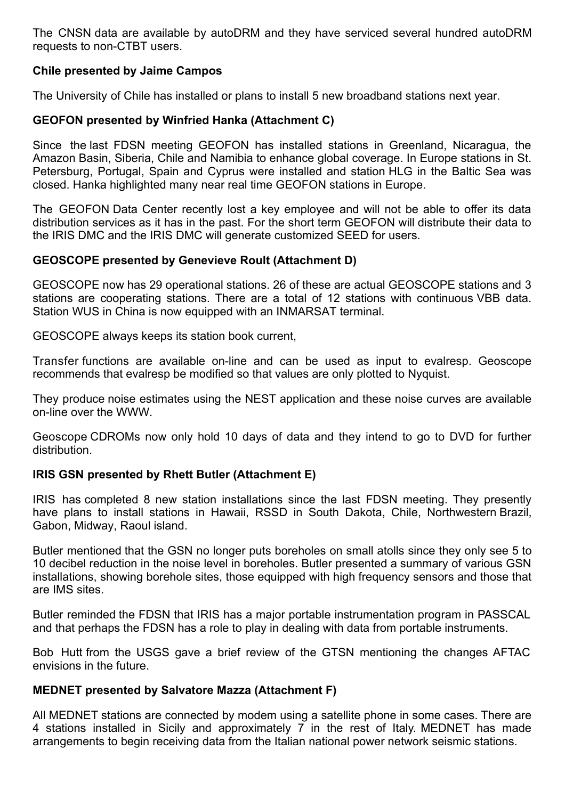The CNSN data are available by autoDRM and they have serviced several hundred autoDRM requests to non-CTBT users.

# **Chile presented by Jaime Campos**

The University of Chile has installed or plans to install 5 new broadband stations next year.

# **GEOFON presented by Winfried Hanka (Attachment C)**

Since the last FDSN meeting GEOFON has installed stations in Greenland, Nicaragua, the Amazon Basin, Siberia, Chile and Namibia to enhance global coverage. In Europe stations in St. Petersburg, Portugal, Spain and Cyprus were installed and station HLG in the Baltic Sea was closed. Hanka highlighted many near real time GEOFON stations in Europe.

The GEOFON Data Center recently lost a key employee and will not be able to offer its data distribution services as it has in the past. For the short term GEOFON will distribute their data to the IRIS DMC and the IRIS DMC will generate customized SEED for users.

# **GEOSCOPE presented by Genevieve Roult (Attachment D)**

GEOSCOPE now has 29 operational stations. 26 of these are actual GEOSCOPE stations and 3 stations are cooperating stations. There are a total of 12 stations with continuous VBB data. Station WUS in China is now equipped with an INMARSAT terminal.

GEOSCOPE always keeps its station book current,

Transfer functions are available on-line and can be used as input to evalresp. Geoscope recommends that evalresp be modified so that values are only plotted to Nyquist.

They produce noise estimates using the NEST application and these noise curves are available on-line over the WWW.

Geoscope CDROMs now only hold 10 days of data and they intend to go to DVD for further distribution.

# **IRIS GSN presented by Rhett Butler (Attachment E)**

IRIS has completed 8 new station installations since the last FDSN meeting. They presently have plans to install stations in Hawaii, RSSD in South Dakota, Chile, Northwestern Brazil, Gabon, Midway, Raoul island.

Butler mentioned that the GSN no longer puts boreholes on small atolls since they only see 5 to 10 decibel reduction in the noise level in boreholes. Butler presented a summary of various GSN installations, showing borehole sites, those equipped with high frequency sensors and those that are IMS sites.

Butler reminded the FDSN that IRIS has a major portable instrumentation program in PASSCAL and that perhaps the FDSN has a role to play in dealing with data from portable instruments.

Bob Hutt from the USGS gave a brief review of the GTSN mentioning the changes AFTAC envisions in the future.

# **MEDNET presented by Salvatore Mazza (Attachment F)**

All MEDNET stations are connected by modem using a satellite phone in some cases. There are 4 stations installed in Sicily and approximately 7 in the rest of Italy. MEDNET has made arrangements to begin receiving data from the Italian national power network seismic stations.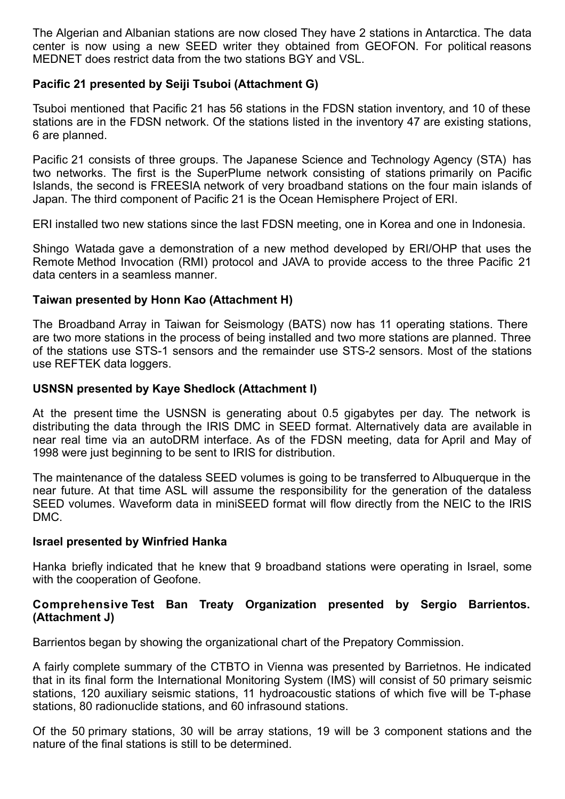The Algerian and Albanian stations are now closed They have 2 stations in Antarctica. The data center is now using a new SEED writer they obtained from GEOFON. For political reasons MEDNET does restrict data from the two stations BGY and VSL.

# **Pacific 21 presented by Seiji Tsuboi (Attachment G)**

Tsuboi mentioned that Pacific 21 has 56 stations in the FDSN station inventory, and 10 of these stations are in the FDSN network. Of the stations listed in the inventory 47 are existing stations, 6 are planned.

Pacific 21 consists of three groups. The Japanese Science and Technology Agency (STA) has two networks. The first is the SuperPlume network consisting of stations primarily on Pacific Islands, the second is FREESIA network of very broadband stations on the four main islands of Japan. The third component of Pacific 21 is the Ocean Hemisphere Project of ERI.

ERI installed two new stations since the last FDSN meeting, one in Korea and one in Indonesia.

Shingo Watada gave a demonstration of a new method developed by ERI/OHP that uses the Remote Method Invocation (RMI) protocol and JAVA to provide access to the three Pacific 21 data centers in a seamless manner.

## **Taiwan presented by Honn Kao (Attachment H)**

The Broadband Array in Taiwan for Seismology (BATS) now has 11 operating stations. There are two more stations in the process of being installed and two more stations are planned. Three of the stations use STS-1 sensors and the remainder use STS-2 sensors. Most of the stations use REFTEK data loggers.

## **USNSN presented by Kaye Shedlock (Attachment I)**

At the present time the USNSN is generating about 0.5 gigabytes per day. The network is distributing the data through the IRIS DMC in SEED format. Alternatively data are available in near real time via an autoDRM interface. As of the FDSN meeting, data for April and May of 1998 were just beginning to be sent to IRIS for distribution.

The maintenance of the dataless SEED volumes is going to be transferred to Albuquerque in the near future. At that time ASL will assume the responsibility for the generation of the dataless SEED volumes. Waveform data in miniSEED format will flow directly from the NEIC to the IRIS DMC.

## **Israel presented by Winfried Hanka**

Hanka briefly indicated that he knew that 9 broadband stations were operating in Israel, some with the cooperation of Geofone.

## **Comprehensive Test Ban Treaty Organization presented by Sergio Barrientos. (Attachment J)**

Barrientos began by showing the organizational chart of the Prepatory Commission.

A fairly complete summary of the CTBTO in Vienna was presented by Barrietnos. He indicated that in its final form the International Monitoring System (IMS) will consist of 50 primary seismic stations, 120 auxiliary seismic stations, 11 hydroacoustic stations of which five will be T-phase stations, 80 radionuclide stations, and 60 infrasound stations.

Of the 50 primary stations, 30 will be array stations, 19 will be 3 component stations and the nature of the final stations is still to be determined.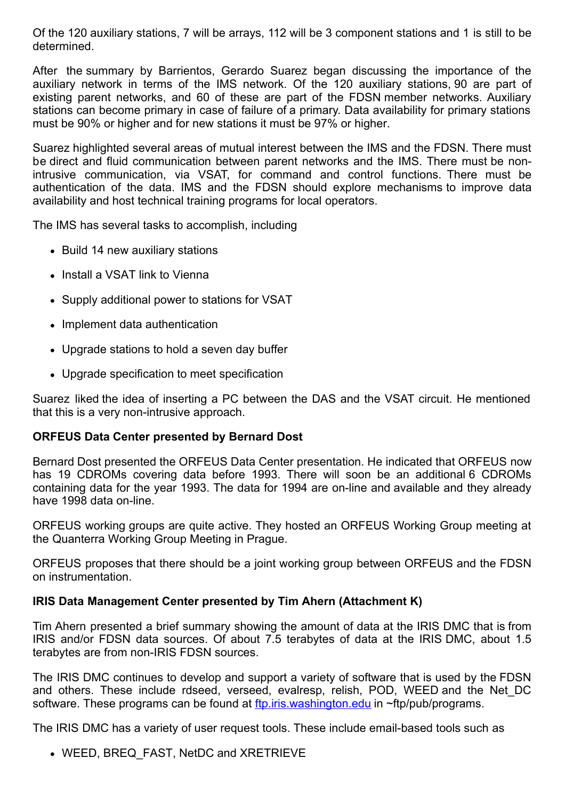Of the 120 auxiliary stations, 7 will be arrays, 112 will be 3 component stations and 1 is still to be determined.

After the summary by Barrientos, Gerardo Suarez began discussing the importance of the auxiliary network in terms of the IMS network. Of the 120 auxiliary stations, 90 are part of existing parent networks, and 60 of these are part of the FDSN member networks. Auxiliary stations can become primary in case of failure of a primary. Data availability for primary stations must be 90% or higher and for new stations it must be 97% or higher.

Suarez highlighted several areas of mutual interest between the IMS and the FDSN. There must be direct and fluid communication between parent networks and the IMS. There must be nonintrusive communication, via VSAT, for command and control functions. There must be authentication of the data. IMS and the FDSN should explore mechanisms to improve data availability and host technical training programs for local operators.

The IMS has several tasks to accomplish, including

- Build 14 new auxiliary stations
- Install a VSAT link to Vienna
- Supply additional power to stations for VSAT
- Implement data authentication
- Upgrade stations to hold a seven day buffer
- Upgrade specification to meet specification

Suarez liked the idea of inserting a PC between the DAS and the VSAT circuit. He mentioned that this is a very non-intrusive approach.

# **ORFEUS Data Center presented by Bernard Dost**

Bernard Dost presented the ORFEUS Data Center presentation. He indicated that ORFEUS now has 19 CDROMs covering data before 1993. There will soon be an additional 6 CDROMs containing data for the year 1993. The data for 1994 are on-line and available and they already have 1998 data on-line.

ORFEUS working groups are quite active. They hosted an ORFEUS Working Group meeting at the Quanterra Working Group Meeting in Prague.

ORFEUS proposes that there should be a joint working group between ORFEUS and the FDSN on instrumentation.

# **IRIS Data Management Center presented by Tim Ahern (Attachment K)**

Tim Ahern presented a brief summary showing the amount of data at the IRIS DMC that is from IRIS and/or FDSN data sources. Of about 7.5 terabytes of data at the IRIS DMC, about 1.5 terabytes are from non-IRIS FDSN sources.

The IRIS DMC continues to develop and support a variety of software that is used by the FDSN and others. These include rdseed, verseed, evalresp, relish, POD, WEED and the Net\_DC software. These programs can be found at [ftp.iris.washington.edu](ftp://ftp.iris.washington.edu/) in ~ftp/pub/programs.

The IRIS DMC has a variety of user request tools. These include email-based tools such as

• WEED, BREQ FAST, NetDC and XRETRIEVE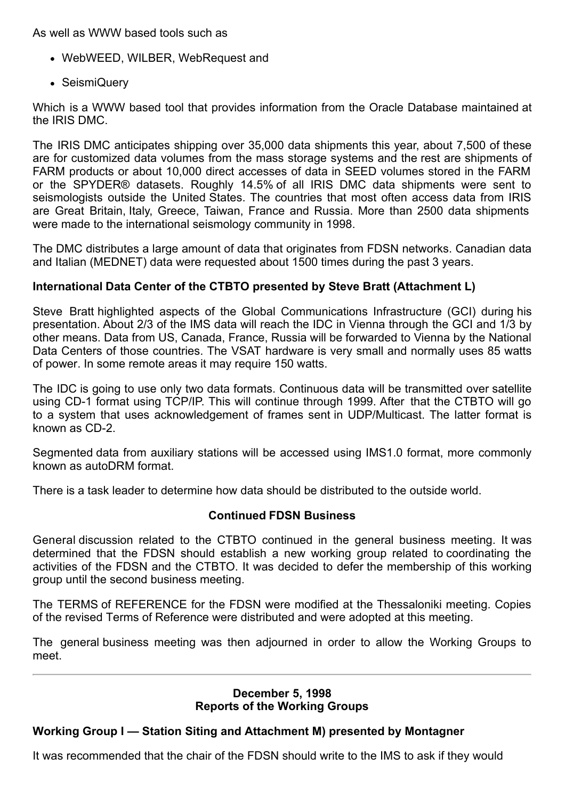As well as WWW based tools such as

- WebWEED, WILBER, WebRequest and
- SeismiQuery

Which is a WWW based tool that provides information from the Oracle Database maintained at the IRIS DMC.

The IRIS DMC anticipates shipping over 35,000 data shipments this year, about 7,500 of these are for customized data volumes from the mass storage systems and the rest are shipments of FARM products or about 10,000 direct accesses of data in SEED volumes stored in the FARM or the SPYDER® datasets. Roughly 14.5% of all IRIS DMC data shipments were sent to seismologists outside the United States. The countries that most often access data from IRIS are Great Britain, Italy, Greece, Taiwan, France and Russia. More than 2500 data shipments were made to the international seismology community in 1998.

The DMC distributes a large amount of data that originates from FDSN networks. Canadian data and Italian (MEDNET) data were requested about 1500 times during the past 3 years.

# **International Data Center of the CTBTO presented by Steve Bratt (Attachment L)**

Steve Bratt highlighted aspects of the Global Communications Infrastructure (GCI) during his presentation. About 2/3 of the IMS data will reach the IDC in Vienna through the GCI and 1/3 by other means. Data from US, Canada, France, Russia will be forwarded to Vienna by the National Data Centers of those countries. The VSAT hardware is very small and normally uses 85 watts of power. In some remote areas it may require 150 watts.

The IDC is going to use only two data formats. Continuous data will be transmitted over satellite using CD-1 format using TCP/IP. This will continue through 1999. After that the CTBTO will go to a system that uses acknowledgement of frames sent in UDP/Multicast. The latter format is known as CD-2.

Segmented data from auxiliary stations will be accessed using IMS1.0 format, more commonly known as autoDRM format.

There is a task leader to determine how data should be distributed to the outside world.

# **Continued FDSN Business**

General discussion related to the CTBTO continued in the general business meeting. It was determined that the FDSN should establish a new working group related to coordinating the activities of the FDSN and the CTBTO. It was decided to defer the membership of this working group until the second business meeting.

The TERMS of REFERENCE for the FDSN were modified at the Thessaloniki meeting. Copies of the revised Terms of Reference were distributed and were adopted at this meeting.

The general business meeting was then adjourned in order to allow the Working Groups to meet.

#### **December 5, 1998 Reports of the Working Groups**

# **Working Group I — Station Siting and Attachment M) presented by Montagner**

It was recommended that the chair of the FDSN should write to the IMS to ask if they would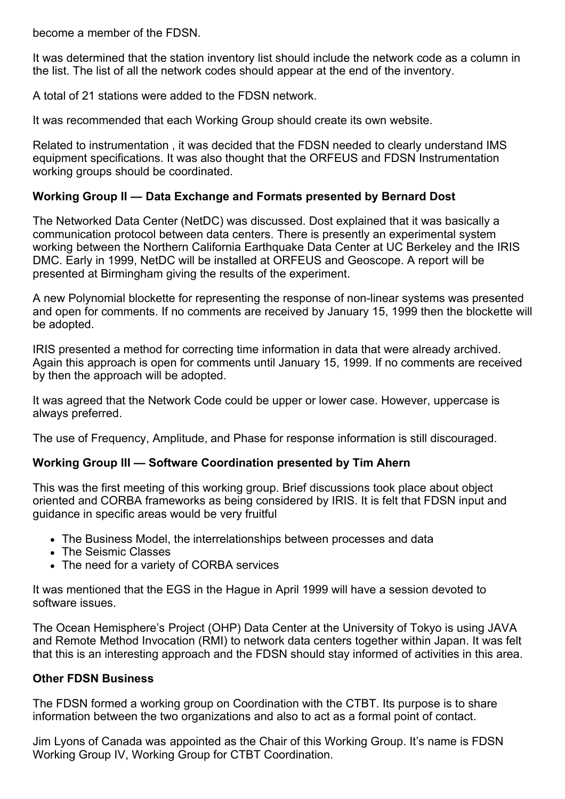become a member of the FDSN.

It was determined that the station inventory list should include the network code as a column in the list. The list of all the network codes should appear at the end of the inventory.

A total of 21 stations were added to the FDSN network.

It was recommended that each Working Group should create its own website.

Related to instrumentation , it was decided that the FDSN needed to clearly understand IMS equipment specifications. It was also thought that the ORFEUS and FDSN Instrumentation working groups should be coordinated.

# **Working Group II — Data Exchange and Formats presented by Bernard Dost**

The Networked Data Center (NetDC) was discussed. Dost explained that it was basically a communication protocol between data centers. There is presently an experimental system working between the Northern California Earthquake Data Center at UC Berkeley and the IRIS DMC. Early in 1999, NetDC will be installed at ORFEUS and Geoscope. A report will be presented at Birmingham giving the results of the experiment.

A new Polynomial blockette for representing the response of non-linear systems was presented and open for comments. If no comments are received by January 15, 1999 then the blockette will be adopted.

IRIS presented a method for correcting time information in data that were already archived. Again this approach is open for comments until January 15, 1999. If no comments are received by then the approach will be adopted.

It was agreed that the Network Code could be upper or lower case. However, uppercase is always preferred.

The use of Frequency, Amplitude, and Phase for response information is still discouraged.

## **Working Group III — Software Coordination presented by Tim Ahern**

This was the first meeting of this working group. Brief discussions took place about object oriented and CORBA frameworks as being considered by IRIS. It is felt that FDSN input and guidance in specific areas would be very fruitful

- The Business Model, the interrelationships between processes and data
- The Seismic Classes
- The need for a variety of CORBA services

It was mentioned that the EGS in the Hague in April 1999 will have a session devoted to software issues.

The Ocean Hemisphere's Project (OHP) Data Center at the University of Tokyo is using JAVA and Remote Method Invocation (RMI) to network data centers together within Japan. It was felt that this is an interesting approach and the FDSN should stay informed of activities in this area.

# **Other FDSN Business**

The FDSN formed a working group on Coordination with the CTBT. Its purpose is to share information between the two organizations and also to act as a formal point of contact.

Jim Lyons of Canada was appointed as the Chair of this Working Group. It's name is FDSN Working Group IV, Working Group for CTBT Coordination.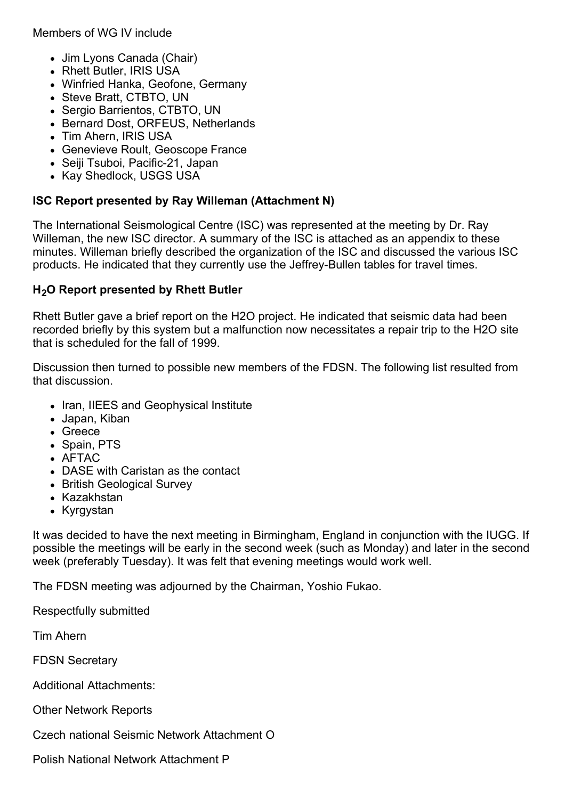Members of WG IV include

- Jim Lyons Canada (Chair)
- Rhett Butler, IRIS USA
- Winfried Hanka, Geofone, Germany
- Steve Bratt, CTBTO, UN
- Sergio Barrientos, CTBTO, UN
- Bernard Dost, ORFEUS, Netherlands
- Tim Ahern, IRIS USA
- Genevieve Roult, Geoscope France
- Seiji Tsuboi, Pacific-21, Japan
- Kay Shedlock, USGS USA

## **ISC Report presented by Ray Willeman (Attachment N)**

The International Seismological Centre (ISC) was represented at the meeting by Dr. Ray Willeman, the new ISC director. A summary of the ISC is attached as an appendix to these minutes. Willeman briefly described the organization of the ISC and discussed the various ISC products. He indicated that they currently use the Jeffrey-Bullen tables for travel times.

## **H2O Report presented by Rhett Butler**

Rhett Butler gave a brief report on the H2O project. He indicated that seismic data had been recorded briefly by this system but a malfunction now necessitates a repair trip to the H2O site that is scheduled for the fall of 1999.

Discussion then turned to possible new members of the FDSN. The following list resulted from that discussion.

- Iran, IIEES and Geophysical Institute
- Japan, Kiban
- Greece
- Spain, PTS
- AFTAC
- DASE with Caristan as the contact
- British Geological Survey
- Kazakhstan
- Kyrgystan

It was decided to have the next meeting in Birmingham, England in conjunction with the IUGG. If possible the meetings will be early in the second week (such as Monday) and later in the second week (preferably Tuesday). It was felt that evening meetings would work well.

The FDSN meeting was adjourned by the Chairman, Yoshio Fukao.

Respectfully submitted

Tim Ahern

FDSN Secretary

Additional Attachments:

Other Network Reports

Czech national Seismic Network Attachment O

Polish National Network Attachment P